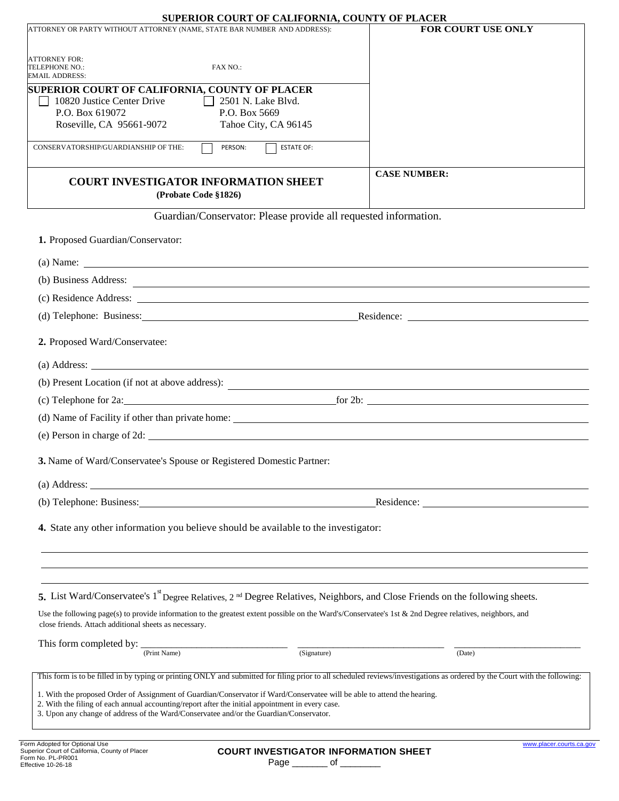## **SUPERIOR COURT OF CALIFORNIA, COUNTY OF PLACER**

| SUPERIOR COURT OF CALIFORNIA, COUNTY OF PLACER<br>ATTORNEY OR PARTY WITHOUT ATTORNEY (NAME, STATE BAR NUMBER AND ADDRESS):                                                                                                                   | FOR COURT USE ONLY  |  |
|----------------------------------------------------------------------------------------------------------------------------------------------------------------------------------------------------------------------------------------------|---------------------|--|
|                                                                                                                                                                                                                                              |                     |  |
| <b>ATTORNEY FOR:</b>                                                                                                                                                                                                                         |                     |  |
| TELEPHONE NO.:<br>FAX NO.:<br>EMAIL ADDRESS:                                                                                                                                                                                                 |                     |  |
| <b>SUPERIOR COURT OF CALIFORNIA, COUNTY OF PLACER</b>                                                                                                                                                                                        |                     |  |
| 10820 Justice Center Drive<br>$\vert$   2501 N. Lake Blvd.<br>P.O. Box 619072<br>P.O. Box 5669                                                                                                                                               |                     |  |
| Roseville, CA 95661-9072<br>Tahoe City, CA 96145                                                                                                                                                                                             |                     |  |
| PERSON:<br><b>ESTATE OF:</b><br>CONSERVATORSHIP/GUARDIANSHIP OF THE:                                                                                                                                                                         |                     |  |
| <b>COURT INVESTIGATOR INFORMATION SHEET</b><br>(Probate Code §1826)                                                                                                                                                                          | <b>CASE NUMBER:</b> |  |
| Guardian/Conservator: Please provide all requested information.                                                                                                                                                                              |                     |  |
| 1. Proposed Guardian/Conservator:                                                                                                                                                                                                            |                     |  |
|                                                                                                                                                                                                                                              |                     |  |
| (b) Business Address: <u>experience</u> and the set of the set of the set of the set of the set of the set of the set of the set of the set of the set of the set of the set of the set of the set of the set of the set of the set          |                     |  |
|                                                                                                                                                                                                                                              |                     |  |
| (d) Telephone: Business: Residence: Residence: Residence:                                                                                                                                                                                    |                     |  |
| 2. Proposed Ward/Conservatee:                                                                                                                                                                                                                |                     |  |
| $(a)$ Address: $\overline{\phantom{a}}$                                                                                                                                                                                                      |                     |  |
|                                                                                                                                                                                                                                              |                     |  |
| (c) Telephone for 2a: <u>for 2b:</u> [60] Telephone for 2a:                                                                                                                                                                                  |                     |  |
|                                                                                                                                                                                                                                              |                     |  |
| (e) Person in charge of 2d:                                                                                                                                                                                                                  |                     |  |
| 3. Name of Ward/Conservatee's Spouse or Registered Domestic Partner:                                                                                                                                                                         |                     |  |
| (a) Address:<br><u> 1989 - Johann Stein, mars an de Francisco Communication (f. 1989)</u>                                                                                                                                                    |                     |  |
| (b) Telephone: Business: University of the Contract of the Contract of the Contract of the Contract of the Contract of the Contract of the Contract of the Contract of the Contract of the Contract of the Contract of the Con<br>Residence: |                     |  |
| 4. State any other information you believe should be available to the investigator:                                                                                                                                                          |                     |  |
| 5. List Ward/Conservatee's 1 <sup>st</sup> Degree Relatives, 2 <sup>nd</sup> Degree Relatives, Neighbors, and Close Friends on the following sheets.                                                                                         |                     |  |
| Use the following page(s) to provide information to the greatest extent possible on the Ward's/Conservatee's 1st & 2nd Degree relatives, neighbors, and<br>close friends. Attach additional sheets as necessary.                             |                     |  |
|                                                                                                                                                                                                                                              | (Date)              |  |
| (Print Name)<br>(Signature)                                                                                                                                                                                                                  |                     |  |
| This form is to be filled in by typing or printing ONLY and submitted for filing prior to all scheduled reviews/investigations as ordered by the Court with the following:                                                                   |                     |  |